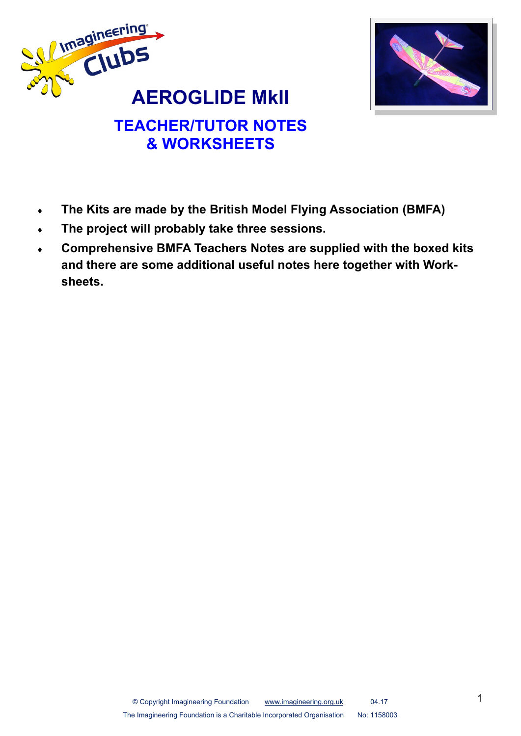



# **TEACHER/TUTOR NOTES & WORKSHEETS**

- **The Kits are made by the British Model Flying Association (BMFA)**
- **The project will probably take three sessions.**
- **Comprehensive BMFA Teachers Notes are supplied with the boxed kits and there are some additional useful notes here together with Worksheets.**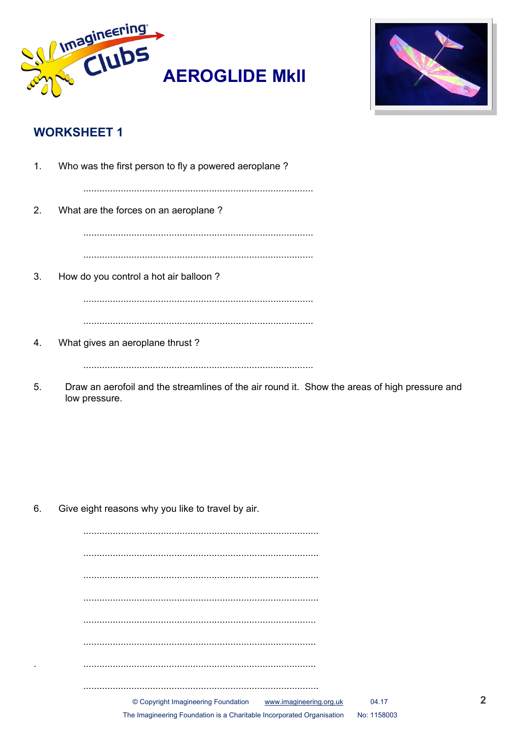



## **WORKSHEET 1**

| 1. | Who was the first person to fly a powered aeroplane? |
|----|------------------------------------------------------|
| 2. | What are the forces on an aeroplane?                 |
|    |                                                      |
| 3. | How do you control a hot air balloon?                |
|    |                                                      |
|    |                                                      |
| 4. | What gives an aeroplane thrust?                      |
|    |                                                      |

5. Draw an aerofoil and the streamlines of the air round it. Show the areas of high pressure and low pressure.

6. Give eight reasons why you like to travel by air.

| © Copyright Imagineering Foundation www.imagineering.org.uk           | 04.17       |
|-----------------------------------------------------------------------|-------------|
| The Imagineering Foundation is a Charitable Incorporated Organisation | No: 1158003 |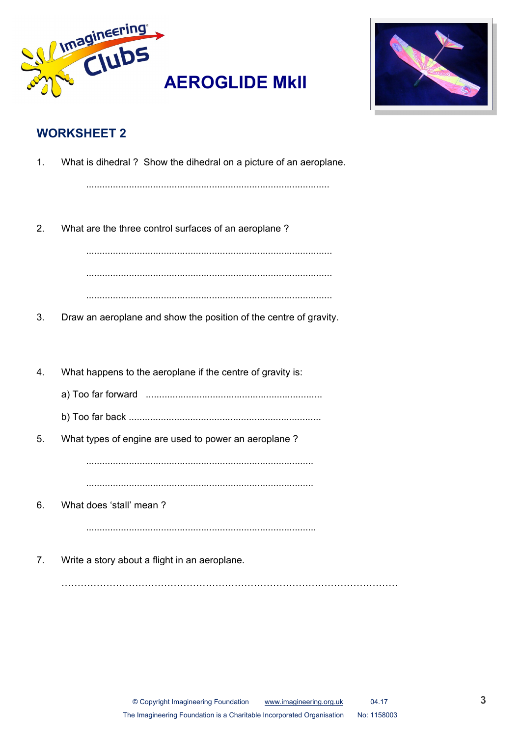



## **WORKSHEET 2**

| 1. | What is dihedral? Show the dihedral on a picture of an aeroplane. |
|----|-------------------------------------------------------------------|
| 2. | What are the three control surfaces of an aeroplane?              |
| 3. | Draw an aeroplane and show the position of the centre of gravity. |
| 4. | What happens to the aeroplane if the centre of gravity is:        |
| 5. | What types of engine are used to power an aeroplane?              |
| 6. | What does 'stall' mean?                                           |
| 7. | Write a story about a flight in an aeroplane.                     |

……………………………………………………………………………………………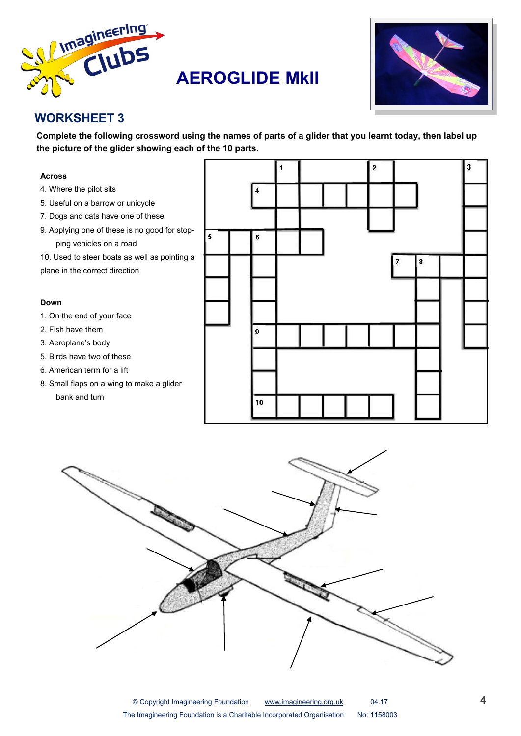

## **AEROGLIDE MkII**



## **WORKSHEET 3**

**Complete the following crossword using the names of parts of a glider that you learnt today, then label up the picture of the glider showing each of the 10 parts.** 



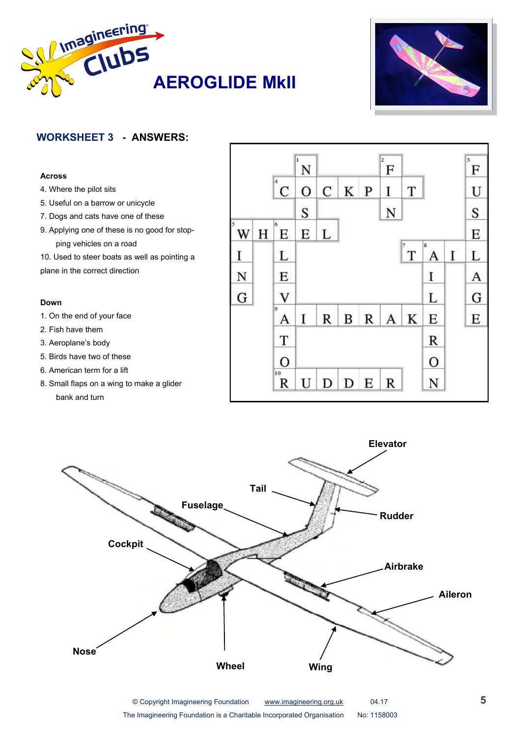



## **WORKSHEET 3 - ANSWERS:**

#### **Across**

- 4. Where the pilot sits
- 5. Useful on a barrow or unicycle
- 7. Dogs and cats have one of these
- 9. Applying one of these is no good for stopping vehicles on a road
- 10. Used to steer boats as well as pointing a plane in the correct direction

#### **Down**

- 1. On the end of your face
- 2. Fish have them
- 3. Aeroplane's body
- 5. Birds have two of these
- 6. American term for a lift
- 8. Small flaps on a wing to make a glider bank and turn





© Copyright Imagineering Foundation [www.imagineering.org.uk](http://www.imagineering.org.uk) 04.17 The Imagineering Foundation is a Charitable Incorporated Organisation No: 1158003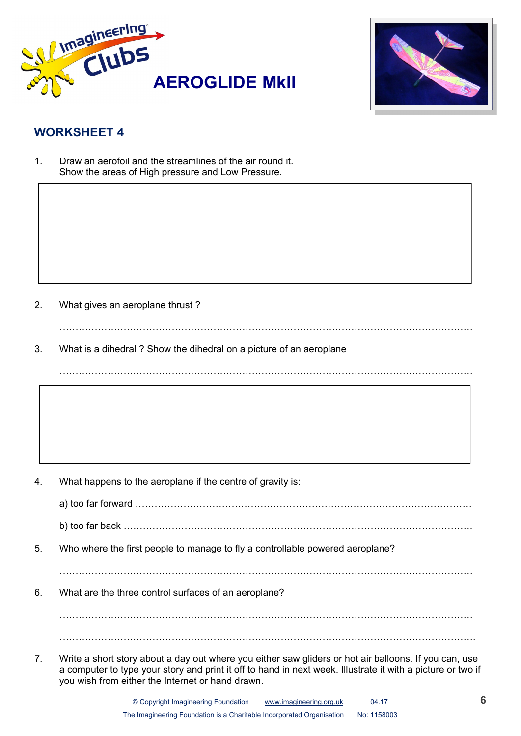



## **WORKSHEET 4**

1. Draw an aerofoil and the streamlines of the air round it. Show the areas of High pressure and Low Pressure.

2. What gives an aeroplane thrust ?

3. What is a dihedral ? Show the dihedral on a picture of an aeroplane

4. What happens to the aeroplane if the centre of gravity is:

a) too far forward ……………………………………………………………………………………………

 $\mathcal{L}^{(n)}$ 

b) too far back ……………………………………………………………………………………………….

5. Who where the first people to manage to fly a controllable powered aeroplane?

…………………………………………………………………………………………………………………

6. What are the three control surfaces of an aeroplane?

………………………………………………………………………………………………………………… ………………………………………………………………………………………………………………….

7. Write a short story about a day out where you either saw gliders or hot air balloons. If you can, use a computer to type your story and print it off to hand in next week. Illustrate it with a picture or two if you wish from either the Internet or hand drawn.